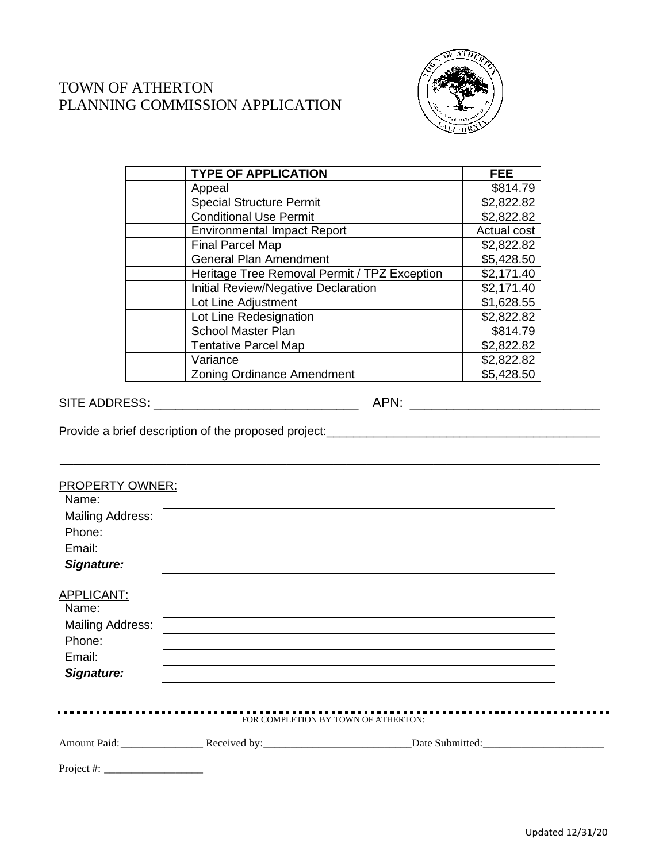



| <b>TYPE OF APPLICATION</b>                   | <b>FEE</b>  |
|----------------------------------------------|-------------|
| Appeal                                       | \$814.79    |
| <b>Special Structure Permit</b>              | \$2,822.82  |
| <b>Conditional Use Permit</b>                | \$2,822.82  |
| <b>Environmental Impact Report</b>           | Actual cost |
| <b>Final Parcel Map</b>                      | \$2,822.82  |
| <b>General Plan Amendment</b>                | \$5,428.50  |
| Heritage Tree Removal Permit / TPZ Exception | \$2,171.40  |
| <b>Initial Review/Negative Declaration</b>   | \$2,171.40  |
| Lot Line Adjustment                          | \$1,628.55  |
| Lot Line Redesignation                       | \$2,822.82  |
| <b>School Master Plan</b>                    | \$814.79    |
| <b>Tentative Parcel Map</b>                  | \$2,822.82  |
| Variance                                     | \$2,822.82  |
| <b>Zoning Ordinance Amendment</b>            | \$5,428.50  |

SITE ADDRESS**:** \_\_\_\_\_\_\_\_\_\_\_\_\_\_\_\_\_\_\_\_\_\_\_\_\_\_\_\_ APN: \_\_\_\_\_\_\_\_\_\_\_\_\_\_\_\_\_\_\_\_\_\_\_\_\_\_

Provide a brief description of the proposed project:\_\_\_\_\_\_\_\_\_\_\_\_\_\_\_\_\_\_\_\_\_\_\_\_\_\_\_\_\_\_\_\_\_\_\_\_\_\_\_\_\_

| PROPERTY OWNER:<br>Name: |                                     |                                                                                  |  |
|--------------------------|-------------------------------------|----------------------------------------------------------------------------------|--|
| <b>Mailing Address:</b>  |                                     |                                                                                  |  |
| Phone:                   |                                     |                                                                                  |  |
| Email:                   |                                     |                                                                                  |  |
| Signature:               |                                     |                                                                                  |  |
| APPLICANT:               |                                     |                                                                                  |  |
| Name:                    |                                     |                                                                                  |  |
| <b>Mailing Address:</b>  |                                     |                                                                                  |  |
| Phone:                   |                                     | ,我们也不会有什么。""我们的人,我们也不会有什么?""我们的人,我们也不会有什么?""我们的人,我们也不会有什么?""我们的人,我们也不会有什么?""我们的人 |  |
| Email:                   |                                     |                                                                                  |  |
| Signature:               |                                     |                                                                                  |  |
|                          |                                     |                                                                                  |  |
|                          | FOR COMPLETION BY TOWN OF ATHERTON: | . <b>.</b> .                                                                     |  |
|                          |                                     |                                                                                  |  |
| Project #: $\frac{1}{2}$ |                                     |                                                                                  |  |

\_\_\_\_\_\_\_\_\_\_\_\_\_\_\_\_\_\_\_\_\_\_\_\_\_\_\_\_\_\_\_\_\_\_\_\_\_\_\_\_\_\_\_\_\_\_\_\_\_\_\_\_\_\_\_\_\_\_\_\_\_\_\_\_\_\_\_\_\_\_\_\_\_\_\_\_\_\_\_\_\_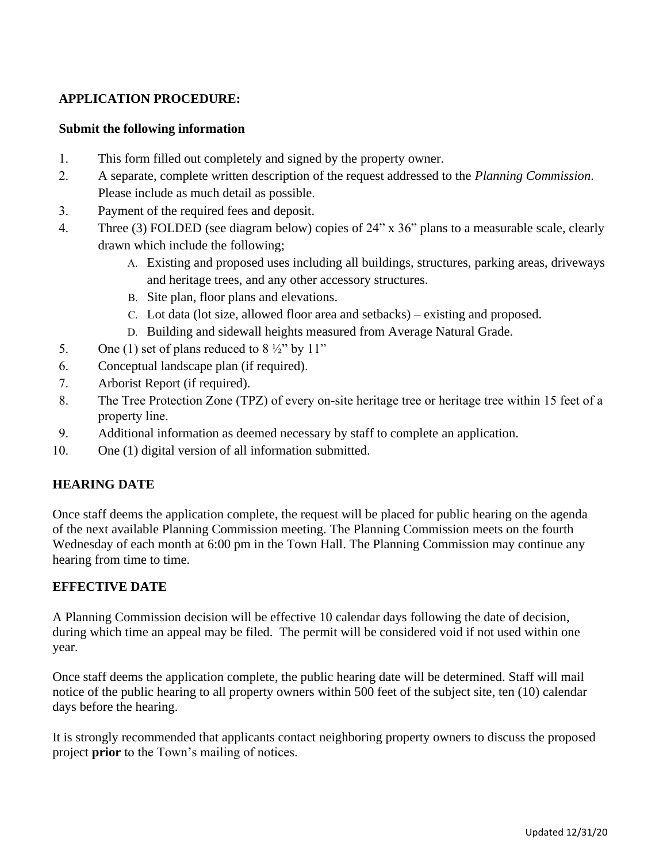## **APPLICATION PROCEDURE:**

## **Submit the following information**

- 1. This form filled out completely and signed by the property owner.
- 2. A separate, complete written description of the request addressed to the *Planning Commission*. Please include as much detail as possible.
- 3. Payment of the required fees and deposit.
- 4. Three (3) FOLDED (see diagram below) copies of 24" x 36" plans to a measurable scale, clearly drawn which include the following;
	- A. Existing and proposed uses including all buildings, structures, parking areas, driveways and heritage trees, and any other accessory structures.
	- B. Site plan, floor plans and elevations.
	- C. Lot data (lot size, allowed floor area and setbacks) existing and proposed.
	- D. Building and sidewall heights measured from Average Natural Grade.
- 5. One (1) set of plans reduced to  $8\frac{1}{2}$ " by 11"
- 6. Conceptual landscape plan (if required).
- 7. Arborist Report (if required).
- 8. The Tree Protection Zone (TPZ) of every on-site heritage tree or heritage tree within 15 feet of a property line.
- 9. Additional information as deemed necessary by staff to complete an application.
- 10. One (1) digital version of all information submitted.

## **HEARING DATE**

Once staff deems the application complete, the request will be placed for public hearing on the agenda of the next available Planning Commission meeting. The Planning Commission meets on the fourth Wednesday of each month at 6:00 pm in the Town Hall. The Planning Commission may continue any hearing from time to time.

## **EFFECTIVE DATE**

A Planning Commission decision will be effective 10 calendar days following the date of decision, during which time an appeal may be filed. The permit will be considered void if not used within one year.

Once staff deems the application complete, the public hearing date will be determined. Staff will mail notice of the public hearing to all property owners within 500 feet of the subject site, ten (10) calendar days before the hearing.

It is strongly recommended that applicants contact neighboring property owners to discuss the proposed project **prior** to the Town's mailing of notices.